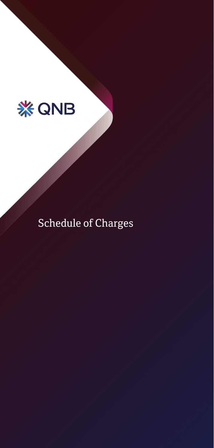

Schedule of Charges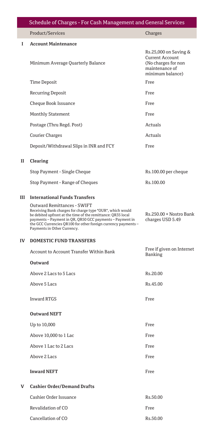|    | Schedule of Charges - For Cash Management and General Services                                                                                                                                                                                                                                                        |                                                                                                              |
|----|-----------------------------------------------------------------------------------------------------------------------------------------------------------------------------------------------------------------------------------------------------------------------------------------------------------------------|--------------------------------------------------------------------------------------------------------------|
|    | Product/Services                                                                                                                                                                                                                                                                                                      | Charges                                                                                                      |
| 1  | <b>Account Maintenance</b>                                                                                                                                                                                                                                                                                            |                                                                                                              |
|    | Minimum Average Quarterly Balance                                                                                                                                                                                                                                                                                     | Rs.25,000 on Saving &<br><b>Current Account</b><br>(No charges for non<br>maintenance of<br>minimum balance) |
|    | Time Deposit                                                                                                                                                                                                                                                                                                          | Free                                                                                                         |
|    | <b>Recurring Deposit</b>                                                                                                                                                                                                                                                                                              | Free                                                                                                         |
|    | Cheque Book Issuance                                                                                                                                                                                                                                                                                                  | Free                                                                                                         |
|    | <b>Monthly Statement</b>                                                                                                                                                                                                                                                                                              | Free                                                                                                         |
|    | Postage (Thru Regd. Post)                                                                                                                                                                                                                                                                                             | Actuals                                                                                                      |
|    | <b>Courier Charges</b>                                                                                                                                                                                                                                                                                                | Actuals                                                                                                      |
|    | Deposit/Withdrawal Slips in INR and FCY                                                                                                                                                                                                                                                                               | Free                                                                                                         |
| П  | <b>Clearing</b>                                                                                                                                                                                                                                                                                                       |                                                                                                              |
|    | Stop Payment - Single Cheque                                                                                                                                                                                                                                                                                          | Rs.100.00 per cheque                                                                                         |
|    | Stop Payment - Range of Cheques                                                                                                                                                                                                                                                                                       | Rs.100.00                                                                                                    |
| Ш  | <b>International Funds Transfers</b>                                                                                                                                                                                                                                                                                  |                                                                                                              |
|    | Outward Remittances - SWIFT<br>Receiving Bank charges for charge type "OUR", which would<br>be debited upfront at the time of the remittance: QR35 local<br>payments - Payment in QR, QR50 GCC payments - Payment in<br>the GCC Currencies QR100 for other foreign currency payments -<br>Payments in Other Currency. | Rs.250.00 + Nostro Bank<br>charges USD 5.49                                                                  |
| IV | <b>DOMESTIC FUND TRANSFERS</b>                                                                                                                                                                                                                                                                                        |                                                                                                              |
|    | <b>Account to Account Transfer Within Bank</b>                                                                                                                                                                                                                                                                        | Free if given on Internet<br>Banking                                                                         |
|    | Outward                                                                                                                                                                                                                                                                                                               |                                                                                                              |
|    | Above 2 Lacs to 5 Lacs                                                                                                                                                                                                                                                                                                | Rs.20.00                                                                                                     |
|    | Above 5 Lacs                                                                                                                                                                                                                                                                                                          | Rs.45.00                                                                                                     |
|    | <b>Inward RTGS</b>                                                                                                                                                                                                                                                                                                    | Free                                                                                                         |
|    | <b>Outward NEFT</b>                                                                                                                                                                                                                                                                                                   |                                                                                                              |
|    | Up to 10,000                                                                                                                                                                                                                                                                                                          | Free                                                                                                         |
|    | Above 10,000 to 1 Lac                                                                                                                                                                                                                                                                                                 | Free                                                                                                         |
|    | Above 1 Lac to 2 Lacs                                                                                                                                                                                                                                                                                                 | Free                                                                                                         |
|    | Above 2 Lacs                                                                                                                                                                                                                                                                                                          | Free                                                                                                         |
|    | <b>Inward NEFT</b>                                                                                                                                                                                                                                                                                                    | Free                                                                                                         |
| V  | <b>Cashier Order/Demand Drafts</b>                                                                                                                                                                                                                                                                                    |                                                                                                              |
|    | Cashier Order Issuance                                                                                                                                                                                                                                                                                                | Rs.50.00                                                                                                     |
|    | Revalidation of CO                                                                                                                                                                                                                                                                                                    | Free                                                                                                         |
|    | Cancellation of CO                                                                                                                                                                                                                                                                                                    | Rs.50.00                                                                                                     |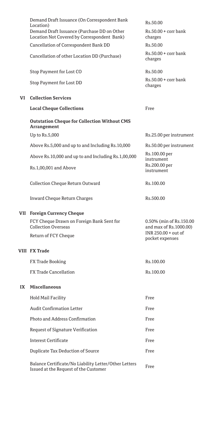|    | Demand Draft Issuance (On Correspondent Bank<br>Location)                                      | Rs.50.00                                          |
|----|------------------------------------------------------------------------------------------------|---------------------------------------------------|
|    | Demand Draft Issuance (Purchase DD on Other<br>Location Not Covered by Correspondent Bank)     | $Rs.50.00 + corr$ bank<br>charges                 |
|    | Cancellation of Correspondent Bank DD                                                          | Rs.50.00                                          |
|    | Cancellation of other Location DD (Purchase)                                                   | $Rs.50.00 + corr$ bank<br>charges                 |
|    | Stop Payment for Lost CO                                                                       | Rs.50.00                                          |
|    | Stop Payment for Lost DD                                                                       | $Rs.50.00 + corr$ bank<br>charges                 |
| VI | <b>Collection Services</b>                                                                     |                                                   |
|    | <b>Local Cheque Collections</b>                                                                | Free                                              |
|    | <b>Outstation Cheque for Collection Without CMS</b><br>Arrangement                             |                                                   |
|    | Up to Rs.5,000                                                                                 | Rs.25.00 per instrument                           |
|    | Above Rs.5,000 and up to and Including Rs.10,000                                               | Rs.50.00 per instrument                           |
|    | Above Rs.10,000 and up to and Including Rs.1,00,000                                            | Rs.100.00 per<br>instrument                       |
|    | Rs.1,00,001 and Above                                                                          | Rs.200.00 per<br>instrument                       |
|    | Collection Cheque Return Outward                                                               | Rs.100.00                                         |
|    | <b>Inward Cheque Return Charges</b>                                                            | Rs.500.00                                         |
|    | <b>VII</b> Foreign Currency Cheque                                                             |                                                   |
|    | FCY Cheque Drawn on Foreign Bank Sent for<br><b>Collection Overseas</b>                        | 0.50% (min of Rs.150.00<br>and max of Rs.1000.00) |
|    | Return of FCY Cheque                                                                           | INR 250.00 + out of<br>pocket expenses            |
|    | <b>VIII FX Trade</b>                                                                           |                                                   |
|    | FX Trade Booking                                                                               | Rs.100.00                                         |
|    | <b>FX Trade Cancellation</b>                                                                   | Rs.100.00                                         |
| IX | Miscellaneous                                                                                  |                                                   |
|    | <b>Hold Mail Facility</b>                                                                      | Free                                              |
|    | <b>Audit Confirmation Letter</b>                                                               | Free                                              |
|    | Photo and Address Confirmation                                                                 | Free                                              |
|    | Request of Signature Verification                                                              | Free                                              |
|    | <b>Interest Certificate</b>                                                                    | Free                                              |
|    | Duplicate Tax Deduction of Source                                                              | Free                                              |
|    | Balance Certificate/No Liability Letter/Other Letters<br>Issued at the Request of the Customer | Free                                              |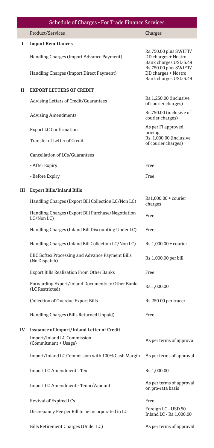|    | <b>Schedule of Charges - For Trade Finance Services</b>                    |                                                                                                |
|----|----------------------------------------------------------------------------|------------------------------------------------------------------------------------------------|
|    | Product/Services                                                           | Charges                                                                                        |
| I  | <b>Import Remittances</b>                                                  |                                                                                                |
|    | Handling Charges (Import Advance Payment)                                  | Rs.750.00 plus SWIFT/<br>DD charges + Nostro<br>Bank charges USD 5.49<br>Rs.750.00 plus SWIFT/ |
|    | Handling Charges (Import Direct Payment)                                   | DD charges + Nostro<br>Bank charges USD 5.49                                                   |
| п  | <b>EXPORT LETTERS OF CREDIT</b>                                            |                                                                                                |
|    | Advising Letters of Credit/Guarantees                                      | Rs.1,250.00 (inclusive<br>of courier charges)                                                  |
|    | <b>Advising Amendments</b>                                                 | Rs.750.00 (inclusive of<br>courier charges)                                                    |
|    | <b>Export LC Confirmation</b>                                              | As per FI approved<br>pricing<br>Rs. 1,000.00 (inclusive                                       |
|    | Transfer of Letter of Credit                                               | of courier charges)                                                                            |
|    | Cancellation of LCs/Guarantees                                             |                                                                                                |
|    | - After Expiry                                                             | Free                                                                                           |
|    | - Before Expiry                                                            | Free                                                                                           |
| Ш  | <b>Export Bills/Inland Bills</b>                                           |                                                                                                |
|    | Handling Charges (Export Bill Collection LC/Non LC)                        | Rs1,000.00 + courier<br>charges                                                                |
|    | Handling Charges (Export Bill Purchase/Negotiation<br>LC/Non LC)           | Free                                                                                           |
|    | Handling Charges (Inland Bill Discounting Under LC)                        | Free                                                                                           |
|    | Handling Charges (Inland Bill Collection LC/Non LC)                        | Rs.1,000.00 + courier                                                                          |
|    | EBC Softex Processing and Advance Payment Bills<br>(No Dispatch)           | Rs.1,000.00 per bill                                                                           |
|    | Export Bills Realization From Other Banks                                  | Free                                                                                           |
|    | Forwarding Export/Inland Documents to Other Banks<br>(LC Restricted)       | Rs.1,000.00                                                                                    |
|    | Collection of Overdue Export Bills                                         | Rs.250.00 per tracer                                                                           |
|    | Handling Charges (Bills Returned Unpaid)                                   | Free                                                                                           |
| IV | <b>Issuance of Import/Inland Letter of Credit</b>                          |                                                                                                |
|    | Import/Inland LC Commission<br>(Commitment + Usage)                        | As per terms of approval                                                                       |
|    | Import/Inland LC Commission with 100% Cash Margin As per terms of approval |                                                                                                |
|    | Import LC Amendment - Text                                                 | Rs.1,000.00                                                                                    |
|    | Import LC Amendment - Tenor/Amount                                         | As per terms of approval<br>on pro-rata basis                                                  |
|    | Revival of Expired LCs                                                     | Free                                                                                           |
|    | Discrepancy Fee per Bill to be Incorporated in LC                          | Foreign LC - USD 50<br>Inland LC - Rs.1,000.00                                                 |
|    | Bills Retirement Charges (Under LC)                                        | As per terms of approval                                                                       |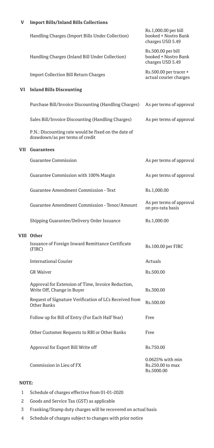## **V Import Bills/Inland Bills Collections**

|    | Handling Charges (Import Bills Under Collection)                                        | Rs.1,000.00 per bill<br>booked + Nostro Bank<br>charges USD 5.49 |
|----|-----------------------------------------------------------------------------------------|------------------------------------------------------------------|
|    | Handling Charges (Inland Bill Under Collection)                                         | Rs.500.00 per bill<br>booked + Nostro Bank<br>charges USD 5.49   |
|    | <b>Import Collection Bill Return Charges</b>                                            | Rs.500.00 per tracer +<br>actual courier charges                 |
| VI | <b>Inland Bills Discounting</b>                                                         |                                                                  |
|    | Purchase Bill/Invoice Discounting (Handling Charges)                                    | As per terms of approval                                         |
|    | Sales Bill/Invoice Discounting (Handling Charges)                                       | As per terms of approval                                         |
|    | P.N.: Discounting rate would be fixed on the date of<br>drawdown/as per terms of credit |                                                                  |
|    | <b>VII</b> Guarantees                                                                   |                                                                  |
|    | Guarantee Commission                                                                    | As per terms of approval                                         |
|    | Guarantee Commission with 100% Margin                                                   | As per terms of approval                                         |
|    | Guarantee Amendment Commission - Text                                                   | Rs.1,000.00                                                      |
|    | Guarantee Amendment Commission - Tenor/Amount                                           | As per terms of approval<br>on pro-rata basis                    |
|    | Shipping Guarantee/Delivery Order Issuance                                              | Rs.1,000.00                                                      |
|    | VIII Other                                                                              |                                                                  |
|    | Issuance of Foreign Inward Remittance Certificate<br>(FIRC)                             | Rs.100.00 per FIRC                                               |
|    | <b>International Courier</b>                                                            | Actuals                                                          |
|    | <b>GR</b> Waiver                                                                        | Rs.500.00                                                        |
|    | Approval for Extension of Time, Invoice Reduction,<br>Write Off, Change in Buyer        | Rs.300.00                                                        |
|    | Request of Signature Verification of LCs Received from<br>Other Banks                   | Rs.500.00                                                        |
|    | Follow up for Bill of Entry (For Each Half Year)                                        | Free                                                             |
|    | Other Customer Requests to RBI or Other Banks                                           | Free                                                             |
|    | Approval for Export Bill Write off                                                      | Rs.750.00                                                        |
|    | Commission in Lieu of FX                                                                | 0.0625% with min<br>Rs.250.00 to max<br>Rs.5000.00               |

## **NOTE:**

- 1 Schedule of charges effective from 01-01-2020
- 2 Goods and Service Tax (GST) as applicable
- 3 Franking/Stamp duty charges will be recovered on actual basis
- 4 Schedule of charges subject to changes with prior notice